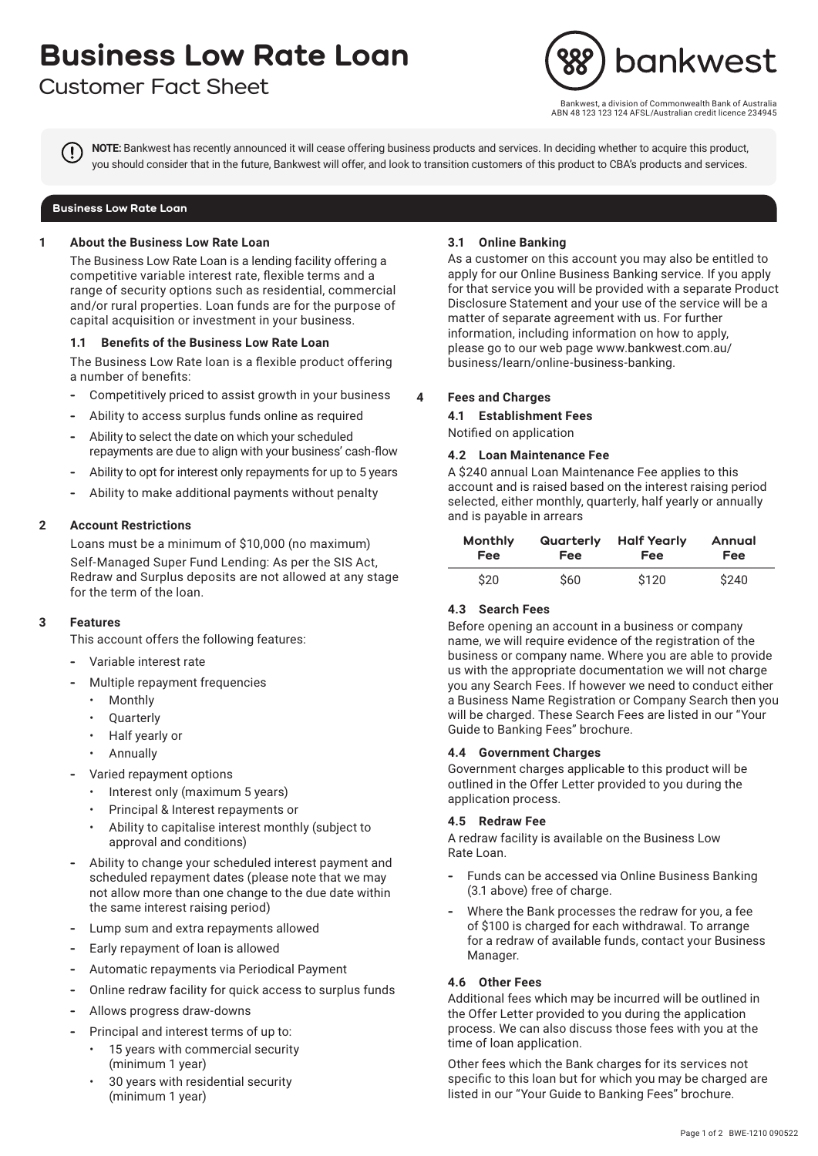# **Business Low Rate Loan**

# **Customer Fact Sheet**



west, a division of Commonwealth Bank of Australia ABN 48 123 123 124 AFSL/Australian credit licence 234945

**NOTE:** Bankwest has recently announced it will cease offering business products and services. In deciding whether to acquire this product, you should consider that in the future, Bankwest will offer, and look to transition customers of this product to CBA's products and services.

#### **Business Low Rate Loan**

# **1 About the Business Low Rate Loan**

The Business Low Rate Loan is a lending facility offering a competitive variable interest rate, flexible terms and a range of security options such as residential, commercial and/or rural properties. Loan funds are for the purpose of capital acquisition or investment in your business.

# **1.1 Benefits of the Business Low Rate Loan**

The Business Low Rate loan is a flexible product offering a number of benefits:

- **-** Competitively priced to assist growth in your business
- **-** Ability to access surplus funds online as required
- **-** Ability to select the date on which your scheduled repayments are due to align with your business' cash-flow
- **-** Ability to opt for interest only repayments for up to 5 years
- **-** Ability to make additional payments without penalty

# **2 Account Restrictions**

Loans must be a minimum of \$10,000 (no maximum) Self-Managed Super Fund Lending: As per the SIS Act, Redraw and Surplus deposits are not allowed at any stage for the term of the loan.

# **3 Features**

This account offers the following features:

- **-** Variable interest rate
- **-** Multiple repayment frequencies
	- Monthly
	- **Quarterly**
	- Half yearly or
	- Annually
- **-** Varied repayment options
	- Interest only (maximum 5 years)
	- Principal & Interest repayments or
	- Ability to capitalise interest monthly (subject to approval and conditions)
- **-** Ability to change your scheduled interest payment and scheduled repayment dates (please note that we may not allow more than one change to the due date within the same interest raising period)
- **-** Lump sum and extra repayments allowed
- **-** Early repayment of loan is allowed
- **-** Automatic repayments via Periodical Payment
- **-** Online redraw facility for quick access to surplus funds
- **-** Allows progress draw-downs
- **-** Principal and interest terms of up to:
	- 15 years with commercial security (minimum 1 year)
	- 30 years with residential security (minimum 1 year)

#### **3.1 Online Banking**

As a customer on this account you may also be entitled to apply for our Online Business Banking service. If you apply for that service you will be provided with a separate Product Disclosure Statement and your use of the service will be a matter of separate agreement with us. For further information, including information on how to apply, please go to our web page www.bankwest.com.au/ business/learn/online-business-banking.

# **4 Fees and Charges**

**4.1 Establishment Fees**

Notified on application

#### **4.2 Loan Maintenance Fee**

A \$240 annual Loan Maintenance Fee applies to this account and is raised based on the interest raising period selected, either monthly, quarterly, half yearly or annually and is payable in arrears

| Monthly    | Quarterly  | <b>Half Yearly</b> | Annual     |
|------------|------------|--------------------|------------|
| <b>Fee</b> | <b>Fee</b> | <b>Fee</b>         | <b>Fee</b> |
| \$20       | \$60       | \$120              | \$240      |

# **4.3 Search Fees**

Before opening an account in a business or company name, we will require evidence of the registration of the business or company name. Where you are able to provide us with the appropriate documentation we will not charge you any Search Fees. If however we need to conduct either a Business Name Registration or Company Search then you will be charged. These Search Fees are listed in our "Your Guide to Banking Fees" brochure.

# **4.4 Government Charges**

Government charges applicable to this product will be outlined in the Offer Letter provided to you during the application process.

# **4.5 Redraw Fee**

A redraw facility is available on the Business Low Rate Loan.

- **-** Funds can be accessed via Online Business Banking (3.1 above) free of charge.
- **-** Where the Bank processes the redraw for you, a fee of \$100 is charged for each withdrawal. To arrange for a redraw of available funds, contact your Business Manager.

# **4.6 Other Fees**

Additional fees which may be incurred will be outlined in the Offer Letter provided to you during the application process. We can also discuss those fees with you at the time of loan application.

Other fees which the Bank charges for its services not specific to this loan but for which you may be charged are listed in our "Your Guide to Banking Fees" brochure.